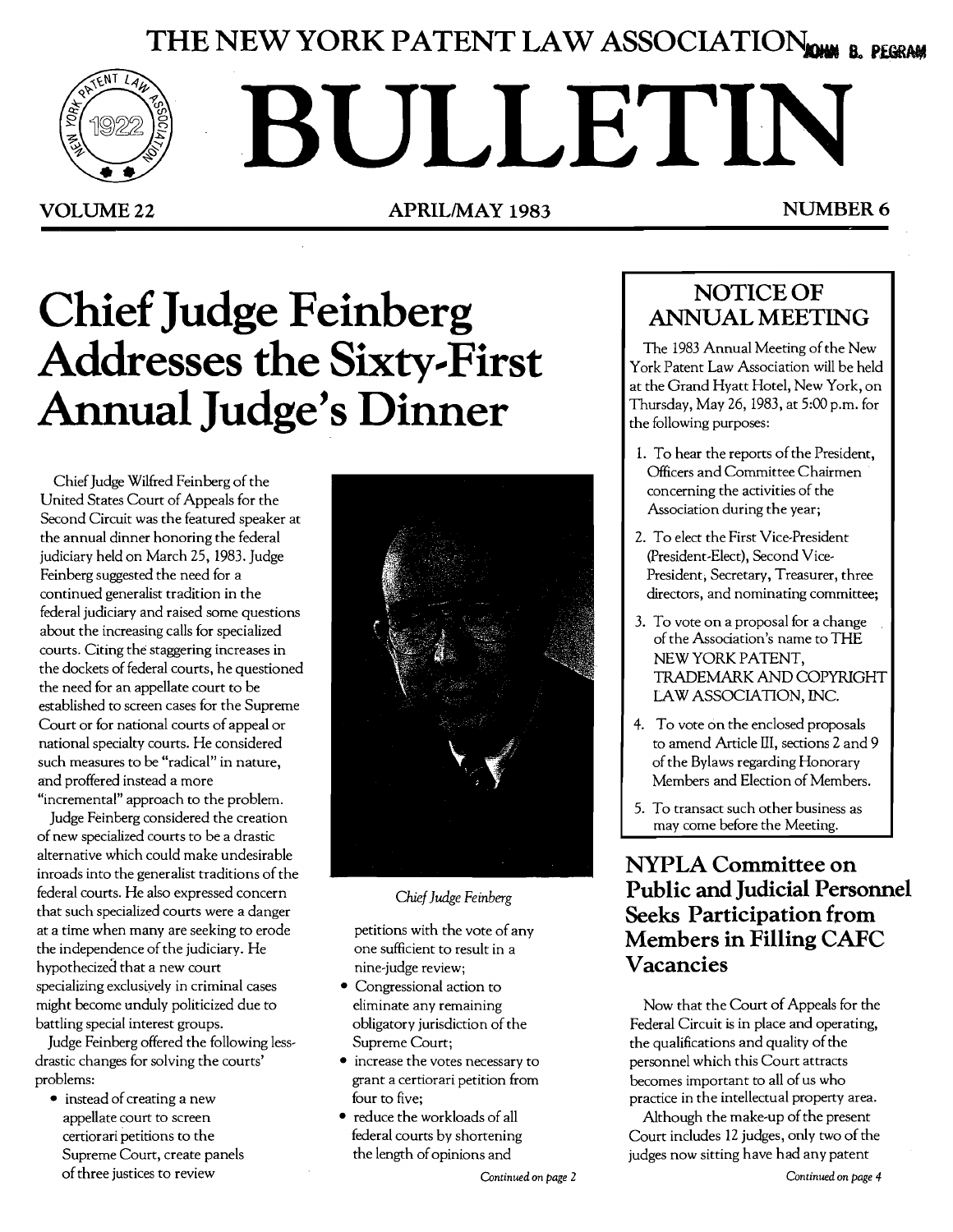## THE NEW YORK PATENT LAW ASSOCIATION **REGRAM**



# **BULLETIN**

VOLUME 22 **APRILIMAY 1983** NUMBER 6

# **Chief Judge Feinberg Addresses the Sixty.-First Annual Judge's Dinner**

Chief Judge Wilfred Feinberg of the United States Court of Appeals for the Second Circuit was the featured speaker at the annual dinner honoring the federal judiciary held on March 25, 1983. Judge Feinberg suggested the need for a continued generalist tradition in the federal judiciary and raised some questions about the increasing calls for specialized courts. Citing the staggering increases in the dockets of federal courts, he questioned the need for an appellate court to be established to screen cases for the Supreme Court or for national courts of appeal or national specialty courts. He considered such measures to be "radical" in nature, and proffered instead a more "incremental" approach to the problem.

Judge Feinberg considered the creation of new specialized courts to be a drastic alternative which could make undesirable inroads into the generalist traditions of the federal courts. He also expressed concern that such specialized courts were a danger at a time when many are seeking to erode the independence of the judiciary. He hypothecized that a new court specializing exclusiyely in criminal cases might become unduly politicized due to battling special interest groups.

Judge Feinberg offered the following lessdrastic changes for solving the courts' problems:

 $\bullet$  instead of creating a new appellate court to screen certiorari petitions to the Supreme Court, create panels of three justices to review



*Chief Judge Feinberg* 

petitions with the vote of any one sufficient to result in a nine-judge review;

- Congressional action to eliminate any remaining obligatory jurisdiction of the Supreme Court;
- increase the votes necessary to grant a certiorari petition from four to five;
- reduce the workloads of all federal courts by shortening the length of opinions and

## NOTICE OF **ANNUAL MEETING**

The 1983 Annual Meeting of the New York Patent Law Association will be held at the Grand Hyatt Hotel, New York, on Thursday, May 26, 1983, at 5:00 p.m. for the following purposes:

- 1. To hear the reports of the President, Officers and Committee Chairmen concerning the activities of the Association during the year;
- 2. To elect the First Vice-President (president-Elect), Second Vice-President; Secretary, Treasurer, three directors, and nominating committee;
- 3. To vote on a proposal for a change of the Association's name to THE NEW YORK PATENT, TRADEMARK AND COPYRIGHT LAW ASSOCIATION, INC.
- 4. To vote on the enclosed proposals to amend Article **III,** sections 2 and 9 of the Bylaws regarding Honorary Members and Election of Members.
- 5. To transact such other business as may come before the Meeting.

## **NYPLA Committee on Public and Judicial Personnel Seeks Participation from Members in Filling CAFC Vacancies**

Now that the Court of Appeals for the Federal Circuit is in place and operating, the qualifications and quality of the personnel which this Court attracts becomes important to all of us who practice in the intellectual property area.

Although the make-up of the present Court includes 12 judges, only two of the judges now sitting have had any patent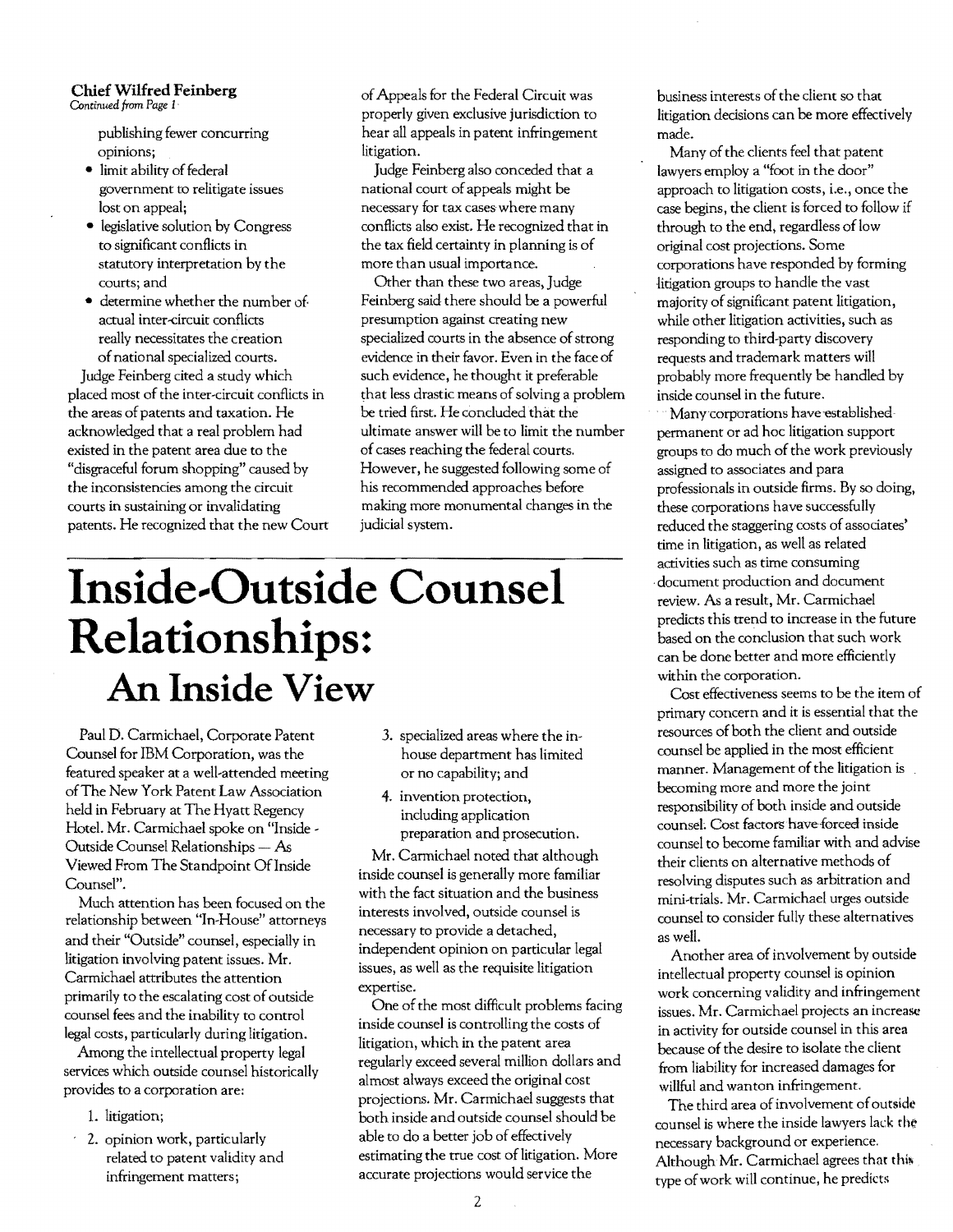## **Chief Wilfred Feinberg**

*Continued from Page I·* 

publishing fewer concurring opinions;

- limit ability of federal government to relitigate issues lost on appeal;
- legislative solution by Congress to significant conflicts in statutory interpretation by the courts; and
- determine whether the number of actual inter-circuit conflicts really necessitates the creation ofnational specialized courts.

judge Feinberg cited a study which placed most of the inter-circuit conflicts in the areas of patents and taxation. He acknowledged that a real problem had existed in the patent area due to the "disgraceful forum shopping" caused by the inconsistencies among the circuit courts in sustaining or invalidating patents. He recognized that the new Court ofAppeals for the Federal Circuit was properly given exclusive jurisdiction to hear all appeals in patent infringement litigation.

judge Feinberg also conceded that a national court of appeals might be necessary for tax cases where many conflicts also exist. He recognized that in the tax field certainty in planning is of more than usual importance.

Other than these two areas, judge Feinberg said there should be a powerful presumption against creating new specialized courts in the absence of strong evidence in their favor. Even in the face of such evidence, he thought it preferable that less drastic means of solving a problem be tried first. He concluded that the ultimate answer will be to limit the number of cases reaching the federal courts. However, he suggested following some of his recommended approaches before making more monumental changes in the judicial system.

# **Inside-Outside Counsel Relationships: An Inside View**

Paul D. Carmichael, Corporate Patent Counsel for IBM Corporation, was the featured speaker at a well-attended meeting ofThe New York Patent Law Association held in February at The Hyatt Regency Hotel. Mr. Carmichael spoke on "Inside Outside Counsel Relationships - As Viewed From The Standpoint Of Inside Counsel".

Much attention has been focused on the relationship between "In-House" attorneys and their "Outside" counsel, especially in litigation involving patent issues. Mr. Carmichael attributes the attention primarily to the escalating cost of outside counsel fees and the inability to control legal costs, particularly during litigation.

Among the intellectual property legal services which outside counsel historicaIly provides to a corporation are:

- 1. litigation;
- 2. opinion work, particularly related to patent validity and infringement matters;
- 3. specialized areas where the inhouse department has limited or no capability; and
- 4. invention protection, including application preparation and prosecution.

Mr. Carmichael noted that although inside counsel is generally more familiar with the fact situation and the business interests involved, outside counsel is necessary to provide a detached, independent opinion on particular legal issues, as well as the requisite litigation expertise.

One of the most difficult problems facing inside counsel is controlling the costs of litigation, which in the patent area regularly exceed several million dollars and almost always exceed the original cost projections. Mr. Carmichael suggests that both inside and outside counsel should be able to do a better job of effectively estimating the true cost of litigation. More accurate projections would service the

business interests of the client so that litigation decisions can be more effectively made.

Many of the clients feel that patent lawyers employ a "foot in the door" approach to litigation costs, i.e., once the case begins, the client is forced to follow if through to the end, regardless of low original cost projections. Some corporations have responded by forming litigation groups to handle the vast majority of significant patent litigation. while other litigation activities, such as responding to third-party discovery requests and trademark matters will probably more frequently be handled by inside counsel in the future.

Many corporations have established permanent or ad hoc litigation support groups to do much of the work previously assigned to associates and para professionals in outside firms. By so doing, these corporations have successfully reduced the staggering costs of associates' time in litigation, as well as related activities such as time consuming . document production and document review. As a result, Mr. Carmichael predicts this trend to increase in the future based on the conclusion that such work can be done better and more efficiently within the corporation.

Cost effectiveness seems to be the item of primary concern and it is essential that the resources of both the client and outside counsel be applied in the most efficient manner. Management of the litigation is becoming more and more the joint responsibility of both inside and outside counsel. Cost factors have forced inside counsel to become familiar with and advise their clients on alternative methods of resolving disputes such as arbitration and mini-trials. Mr. Carmichael urges outside counsel to consider fully these alternatives as well.

Another area of involvement by outside intellectual property counsel is opinion work concerning validity and infringement issues. Mr. Carmichael projects an increase in activity for outside counsel in this area because of the desire to isolate the client from liability for increased damages for willful and wanton infringement.

The third area of involvement of outside counsel is where the inside lawyers lack rhe necessary background or experience. Although Mr. Carmichael agrees that this type ofwork will continue, he predicts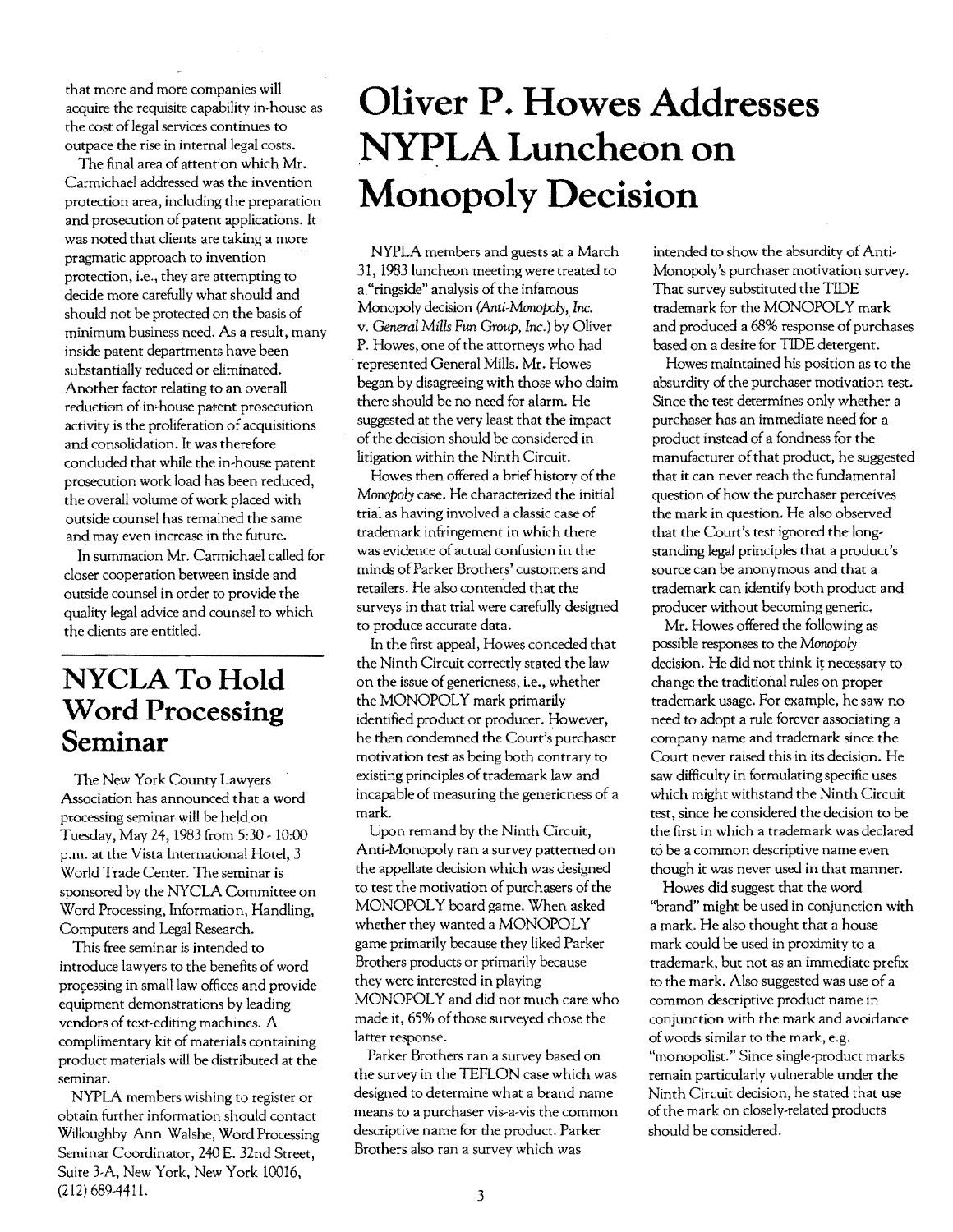that more and more companies will acquire the requisite capability in-house as the cost of legal services continues to outpace the rise in internal legal costs.

The final area of attention which Mr. Carmichael addressed was the invention protection area, including the preparation and prosecution of patent applications. It was noted that clients are taking a more pragmatic approach to invention protection, i.e., they are attempting to decide more carefully what should and should not be protected on the basis of minimum business need. As a result, many inside patent departments have been substantially reduced or eliminated. Another factor relating to an overall reduction of in-house patent prosecution activity is the proliferation of acquisitions and consolidation. It was therefore concluded that while the in-house patent prosecution work load has been reduced, the overall volume of work placed with outside counsel has remained the same and may even increase in the future.

In summation Mr. Carmichael called for closer cooperation between inside and outside counsel in order to provide the quality legal advice and counsel to which the clients are entitled.

## **NYCLA To Hold Word Processing Seminar**

The New York County Lawyers Association has announced that a word processing seminar will be held on Tuesday, May 24, 1983 from 5:30 - 10:00 p.m. at the Vista International Hotel, 3 World Trade Center. The seminar is sponsored by the NYCLA Committee on Word Processing, Information, Handling, Computers and Legal Research.

This free seminar is intended to introduce lawyers to the benefits of word processing in small law offices and provide equipment demonstrations by leading vendors of text-editing machines. A complimentary kit of materials containing product materials will be distributed at the seminar.

NYPLA members wishing to register or obtain further information should contact Willoughby Ann Walshe, Word Processing Seminar Coordinator, 240 E. 32nd Street, Suite 3-A, New York, New York 10016, (212) 689-441 L

## **Oliver P. Howes Addresses**  N~LA **Luncheon on Monopoly Decision**

NYPLA members and guests at a March 31, 1983 luncheon meeting were treated to a, "ringside" analysis of the infamous Monopoly decision *(Anti-Manopoly,* Inc. v. *General Mills Fun* Group, Inc.) by Oliver P. Howes, one of the attorneys who had represented General Mills. Mr. Howes began by disagreeing with those who claim there should be no need for alarm. He suggested at the very least that the impact of the decision should be considered in litigation within the Ninth Circuit.

Howes then offered a brief history of the *Monopoly* case. He characterized the initial trial as having involved a classic case of trademark infringement in which there was evidence of actual confusion in the minds ofParker Brothers' customers and retailers. He also contended that the surveys in that trial were carefully designed to produce accurate data.

In the first appeal, Howes conceded that the Ninth Circuit correctly stated the law on the issue of genericness, Le., whether the MONOPOLY mark primarily identified product or producer. However, he then condemned the Court's purchaser motivation test as being both contrary to existing principles of trademark law and incapable of measuring the genericness of a mark.

Upon remand by the Ninth Circuit, Anti-Monopoly ran a survey patterned on the appellate decision which was designed to test the motivation of purchasers of the MONOPOLY board game. When asked whether they wanted a MONOPOLY game primarily because they liked Parker Brothers products or primarily because they were interested in playing MONOPOLY and did not much care who made it, 65% of those surveyed chose the latter response.

Parker Brothers ran a survey based on the survey in the TEFLON case which was designed to determine what a brand name means to a purchaser vis-a-vis the common descriptive name for the product. Parker Brothers also ran a survey which was

intended to show the absurdity of Anti-Monopoly's purchaser motivation survey. That survey substituted the TIDE trademark for the MONOPOLY mark and produced a 68% response of purchases based on a desire for TIDE detergent.

Howes maintained his position as to the absurdity of the purchaser motivation test. Since the test determines only whether a purchaser has an immediate need for a product instead of a fondness for the manufacturer of that product, he suggested that it can never reach the fundamental question of how the purchaser perceives the mark in question. He also observed that the Court's test ignored the longstanding legal principles that a product's source can be anonymous and that a trademark can identify both product and producer without becoming generic.

Mr. Howes offered the following as possible responses to the *Manopoly*  decision. He did not think it necessary to change the traditional rules on proper trademark usage. For example, he saw no need to adopt a rule forever associating a company name and trademark since the Court never raised this in its decision. He saw difficulty in formulating specific uses which might withstand the Ninth Circuit test, since he considered the decision to be the first in which a trademark was declared to be a common descriptive name even though it was never used in that manner.

Howes did suggest that the word "brand" might be used in conjunction with a mark. He also thought that a house mark could be used in proximity to a trademark, but not as an immediate prefix to the mark. Also suggested was use of a common descriptive product name in conjunction with the mark and avoidance of words similar to the mark, e.g. "monopolist." Since single-product marks remain particularly vulnerable under the Ninth Circuit decision, he stated that use of the mark on closely-related products should be considered.